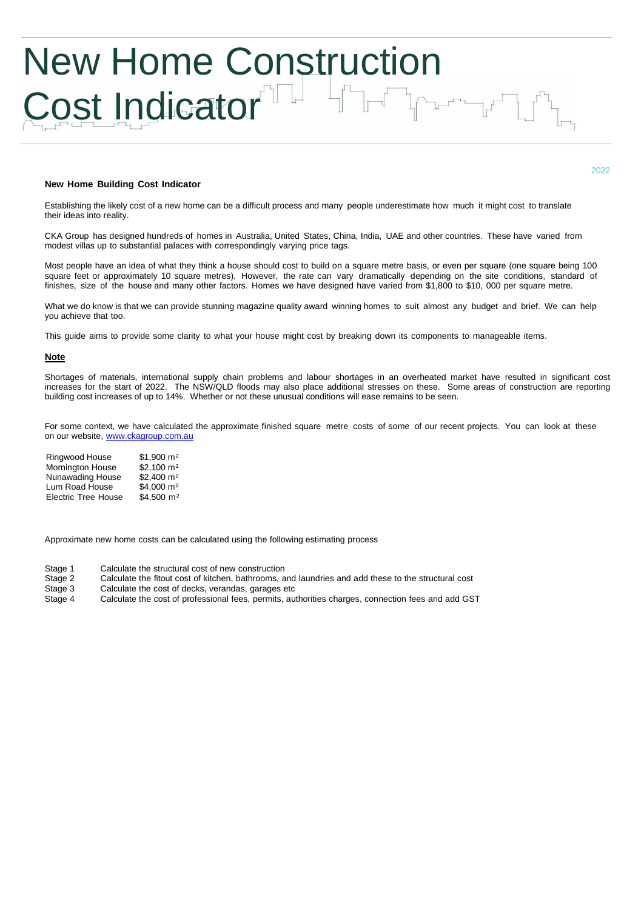# New Home Construction Cost Indicator<sup>T</sup>

## **New Home Building Cost Indicator**

Establishing the likely cost of a new home can be a difficult process and many people underestimate how much it might cost to translate their ideas into reality.

CKA Group has designed hundreds of homes in Australia, United States, China, India, UAE and other countries. These have varied from modest villas up to substantial palaces with correspondingly varying price tags.

Most people have an idea of what they think a house should cost to build on a square metre basis, or even per square (one square being 100 square feet or approximately 10 square metres). However, the rate can vary dramatically depending on the site conditions, standard of finishes, size of the house and many other factors. Homes we have designed have varied from \$1,800 to \$10, 000 per square metre.

What we do know is that we can provide stunning magazine quality award winning homes to suit almost any budget and brief. We can help you achieve that too.

This guide aims to provide some clarity to what your house might cost by breaking down its components to manageable items.

## **Note**

Shortages of materials, international supply chain problems and labour shortages in an overheated market have resulted in significant cost increases for the start of 2022. The NSW/QLD floods may also place additional stresses on these. Some areas of construction are reporting building cost increases of up to 14%. Whether or not these unusual conditions will ease remains to be seen.

For some context, we have calculated the approximate finished square metre costs of some of our recent projects. You can look at these on our website, [www.ckagroup.com.au](http://www.ckagroup.com.au/)

Ringwood House \$1,900 m² Mornington House \$2,100 m<sup>2</sup><br>Nunawading House \$2,400 m<sup>2</sup> Nunawading House Lum Road House \$4,000 m<sup>2</sup> Electric Tree House \$4,500 m<sup>2</sup>

Approximate new home costs can be calculated using the following estimating process

Stage 1 Calculate the structural cost of new construction

- Stage 2 Calculate the fitout cost of kitchen, bathrooms, and laundries and add these to the structural cost
- Calculate the cost of decks, verandas, garages etc
- Stage 4 Calculate the cost of professional fees, permits, authorities charges, connection fees and add GST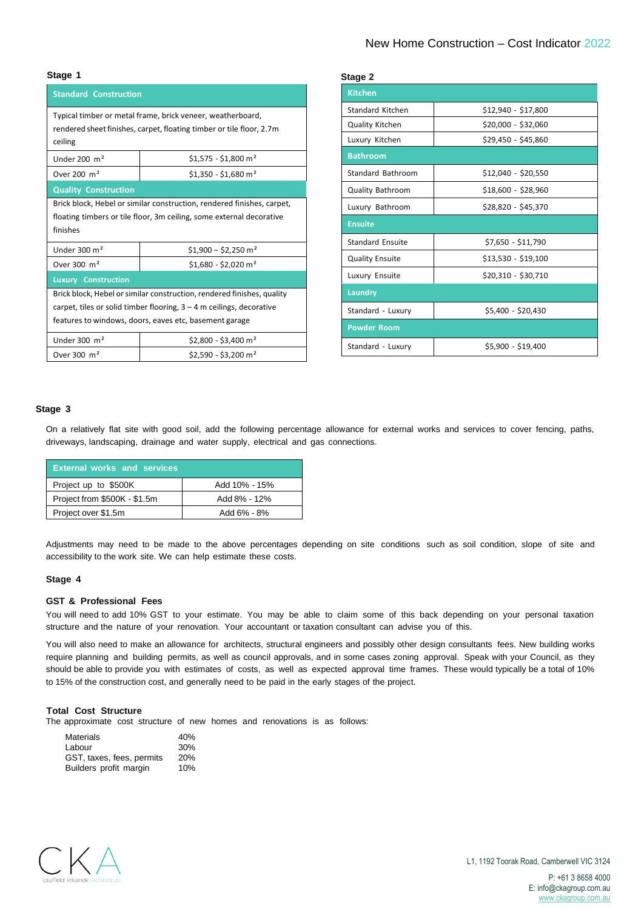| <b>Standard Construction</b>                                                                                                                   |                                  |  |  |  |
|------------------------------------------------------------------------------------------------------------------------------------------------|----------------------------------|--|--|--|
| Typical timber or metal frame, brick veneer, weatherboard,<br>rendered sheet finishes, carpet, floating timber or tile floor, 2.7m<br>ceiling  |                                  |  |  |  |
| Under $200 \text{ m}^2$                                                                                                                        | $$1,575 - $1,800$ m <sup>2</sup> |  |  |  |
| Over 200 $m2$                                                                                                                                  | $$1,350 - $1,680$ m <sup>2</sup> |  |  |  |
| <b>Quality Construction</b>                                                                                                                    |                                  |  |  |  |
| Brick block, Hebel or similar construction, rendered finishes, carpet,<br>floating timbers or tile floor, 3m ceiling, some external decorative |                                  |  |  |  |
| finishes                                                                                                                                       |                                  |  |  |  |
| Under $300 \text{ m}^2$                                                                                                                        | $$1,900 - $2,250$ m <sup>2</sup> |  |  |  |
| Over 300 m <sup>2</sup>                                                                                                                        | $$1,680 - $2,020$ m <sup>2</sup> |  |  |  |
| <b>Luxury Construction</b>                                                                                                                     |                                  |  |  |  |
| Brick block, Hebel or similar construction, rendered finishes, quality                                                                         |                                  |  |  |  |
| carpet, tiles or solid timber flooring, $3 - 4$ m ceilings, decorative                                                                         |                                  |  |  |  |
| features to windows, doors, eaves etc, basement garage                                                                                         |                                  |  |  |  |
| Under $300 \text{ m}^2$                                                                                                                        | $$2,800 - $3,400$ m <sup>2</sup> |  |  |  |
| Over 300 $m2$                                                                                                                                  | $$2,590 - $3,200$ m <sup>2</sup> |  |  |  |

| Stage 1                                                                                                                                                    |                                  | Stage 2                 |                     |  |
|------------------------------------------------------------------------------------------------------------------------------------------------------------|----------------------------------|-------------------------|---------------------|--|
| <b>Standard Construction</b>                                                                                                                               |                                  | <b>Kitchen</b>          |                     |  |
| Typical timber or metal frame, brick veneer, weatherboard,<br>rendered sheet finishes, carpet, floating timber or tile floor, 2.7m<br>ceiling              |                                  | Standard Kitchen        | \$12,940 - \$17,800 |  |
|                                                                                                                                                            |                                  | Quality Kitchen         | \$20,000 - \$32,060 |  |
|                                                                                                                                                            |                                  | Luxury Kitchen          | \$29,450 - \$45,860 |  |
| Under 200 $m2$                                                                                                                                             | $$1,575 - $1,800$ m <sup>2</sup> | <b>Bathroom</b>         |                     |  |
| Over 200 m <sup>2</sup>                                                                                                                                    | $$1,350 - $1,680$ m <sup>2</sup> | Standard Bathroom       | \$12,040 - \$20,550 |  |
| <b>Quality Construction</b>                                                                                                                                |                                  | <b>Quality Bathroom</b> | \$18,600 - \$28,960 |  |
| Brick block, Hebel or similar construction, rendered finishes, carpet,<br>floating timbers or tile floor, 3m ceiling, some external decorative<br>finishes |                                  | Luxury Bathroom         | \$28,820 - \$45,370 |  |
|                                                                                                                                                            |                                  | <b>Ensuite</b>          |                     |  |
| Under $300 \text{ m}^2$                                                                                                                                    | $$1,900 - $2,250$ m <sup>2</sup> | <b>Standard Ensuite</b> | \$7,650 - \$11,790  |  |
| Over 300 $m2$                                                                                                                                              | $$1,680 - $2,020 \text{ m}^2$    | <b>Quality Ensuite</b>  | \$13,530 - \$19,100 |  |
| <b>Luxury Construction</b>                                                                                                                                 |                                  | Luxury Ensuite          | \$20,310 - \$30,710 |  |
| Brick block, Hebel or similar construction, rendered finishes, quality                                                                                     |                                  | Laundry                 |                     |  |
| carpet, tiles or solid timber flooring, $3 - 4$ m ceilings, decorative<br>features to windows, doors, eaves etc, basement garage                           |                                  | Standard - Luxury       | \$5,400 - \$20,430  |  |
|                                                                                                                                                            |                                  | <b>Powder Room</b>      |                     |  |
| Under $300 \text{ m}^2$                                                                                                                                    | $$2,800 - $3,400$ m <sup>2</sup> | Standard - Luxury       | $$5,900 - $19,400$  |  |
| Over 300 m <sup>2</sup>                                                                                                                                    | \$2,590 - \$3,200 m <sup>2</sup> |                         |                     |  |

## **Stage 3**

On a relatively flat site with good soil, add the following percentage allowance for external works and services to cover fencing, paths, driveways, landscaping, drainage and water supply, electrical and gas connections.

| Add 10% - 15% |  |
|---------------|--|
| Add 8% - 12%  |  |
| Add 6% - 8%   |  |
|               |  |

Adjustments may need to be made to the above percentages depending on site conditions such as soil condition, slope of site and accessibility to the work site. We can help estimate these costs.

## **Stage 4**

#### **GST & Professional Fees**

You will need to add 10% GST to your estimate. You may be able to claim some of this back depending on your personal taxation structure and the nature of your renovation. Your accountant or taxation consultant can advise you of this.

You will also need to make an allowance for architects, structural engineers and possibly other design consultants fees. New building works require planning and building permits, as well as council approvals, and in some cases zoning approval. Speak with your Council, as they should be able to provide you with estimates of costs, as well as expected approval time frames. These would typically be a total of 10% to 15% of the construction cost, and generally need to be paid in the early stages of the project.

#### **Total Cost Structure**

The approximate cost structure of new homes and renovations is as follows:

| <b>Materials</b>          | 40%        |
|---------------------------|------------|
| Labour                    | 30%        |
| GST, taxes, fees, permits | <b>20%</b> |
| Builders profit margin    | 10%        |